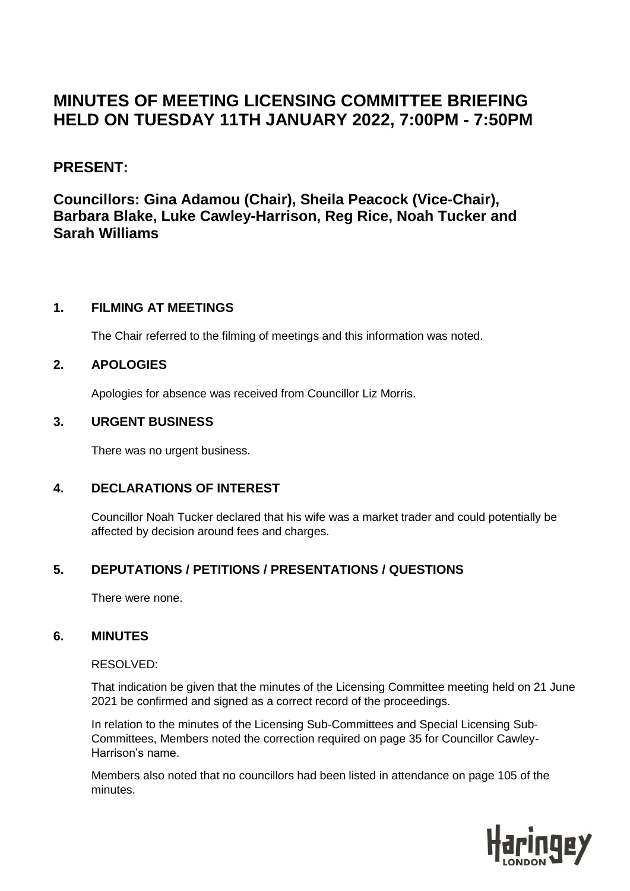# **MINUTES OF MEETING LICENSING COMMITTEE BRIEFING HELD ON TUESDAY 11TH JANUARY 2022, 7:00PM - 7:50PM**

# **PRESENT:**

**Councillors: Gina Adamou (Chair), Sheila Peacock (Vice-Chair), Barbara Blake, Luke Cawley-Harrison, Reg Rice, Noah Tucker and Sarah Williams**

## **1. FILMING AT MEETINGS**

The Chair referred to the filming of meetings and this information was noted.

## **2. APOLOGIES**

Apologies for absence was received from Councillor Liz Morris.

#### **3. URGENT BUSINESS**

There was no urgent business.

## **4. DECLARATIONS OF INTEREST**

Councillor Noah Tucker declared that his wife was a market trader and could potentially be affected by decision around fees and charges.

## **5. DEPUTATIONS / PETITIONS / PRESENTATIONS / QUESTIONS**

There were none.

## **6. MINUTES**

#### RESOLVED:

That indication be given that the minutes of the Licensing Committee meeting held on 21 June 2021 be confirmed and signed as a correct record of the proceedings.

In relation to the minutes of the Licensing Sub-Committees and Special Licensing Sub-Committees, Members noted the correction required on page 35 for Councillor Cawley-Harrison's name.

Members also noted that no councillors had been listed in attendance on page 105 of the minutes.

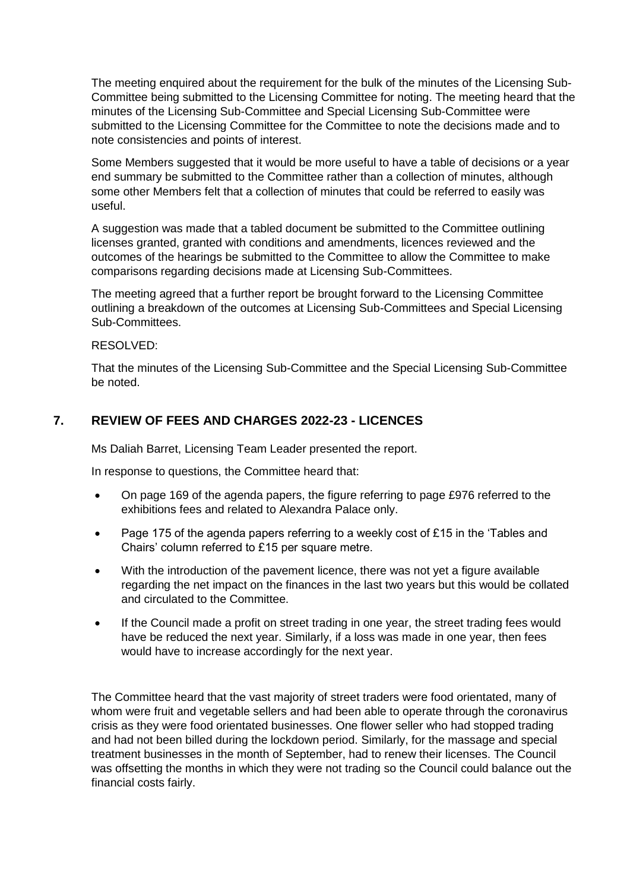The meeting enquired about the requirement for the bulk of the minutes of the Licensing Sub-Committee being submitted to the Licensing Committee for noting. The meeting heard that the minutes of the Licensing Sub-Committee and Special Licensing Sub-Committee were submitted to the Licensing Committee for the Committee to note the decisions made and to note consistencies and points of interest.

Some Members suggested that it would be more useful to have a table of decisions or a year end summary be submitted to the Committee rather than a collection of minutes, although some other Members felt that a collection of minutes that could be referred to easily was useful.

A suggestion was made that a tabled document be submitted to the Committee outlining licenses granted, granted with conditions and amendments, licences reviewed and the outcomes of the hearings be submitted to the Committee to allow the Committee to make comparisons regarding decisions made at Licensing Sub-Committees.

The meeting agreed that a further report be brought forward to the Licensing Committee outlining a breakdown of the outcomes at Licensing Sub-Committees and Special Licensing Sub-Committees.

#### RESOLVED:

That the minutes of the Licensing Sub-Committee and the Special Licensing Sub-Committee be noted.

## **7. REVIEW OF FEES AND CHARGES 2022-23 - LICENCES**

Ms Daliah Barret, Licensing Team Leader presented the report.

In response to questions, the Committee heard that:

- On page 169 of the agenda papers, the figure referring to page £976 referred to the exhibitions fees and related to Alexandra Palace only.
- Page 175 of the agenda papers referring to a weekly cost of £15 in the 'Tables and Chairs' column referred to £15 per square metre.
- With the introduction of the pavement licence, there was not yet a figure available regarding the net impact on the finances in the last two years but this would be collated and circulated to the Committee.
- If the Council made a profit on street trading in one year, the street trading fees would have be reduced the next year. Similarly, if a loss was made in one year, then fees would have to increase accordingly for the next year.

The Committee heard that the vast majority of street traders were food orientated, many of whom were fruit and vegetable sellers and had been able to operate through the coronavirus crisis as they were food orientated businesses. One flower seller who had stopped trading and had not been billed during the lockdown period. Similarly, for the massage and special treatment businesses in the month of September, had to renew their licenses. The Council was offsetting the months in which they were not trading so the Council could balance out the financial costs fairly.